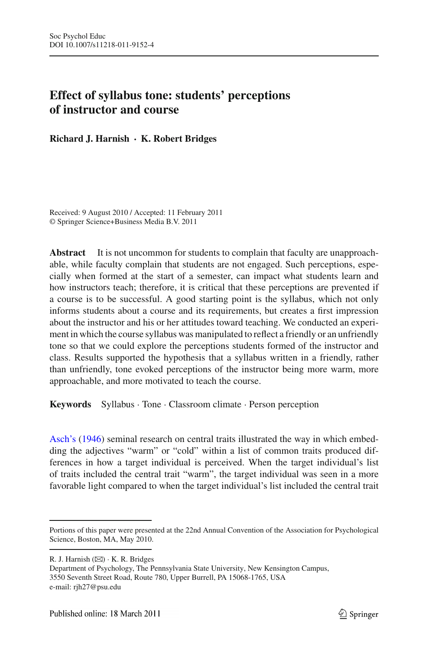# **Effect of syllabus tone: students' perceptions of instructor and course**

**Richard J. Harnish · K. Robert Bridges**

Received: 9 August 2010 / Accepted: 11 February 2011 © Springer Science+Business Media B.V. 2011

**Abstract** It is not uncommon for students to complain that faculty are unapproachable, while faculty complain that students are not engaged. Such perceptions, especially when formed at the start of a semester, can impact what students learn and how instructors teach; therefore, it is critical that these perceptions are prevented if a course is to be successful. A good starting point is the syllabus, which not only informs students about a course and its requirements, but creates a first impression about the instructor and his or her attitudes toward teaching. We conducted an experiment in which the course syllabus was manipulated to reflect a friendly or an unfriendly tone so that we could explore the perceptions students formed of the instructor and class. Results supported the hypothesis that a syllabus written in a friendly, rather than unfriendly, tone evoked perceptions of the instructor being more warm, more approachable, and more motivated to teach the course.

**Keywords** Syllabus · Tone · Classroom climate · Person perception

[Asch's](#page-10-0) [\(1946\)](#page-10-0) seminal research on central traits illustrated the way in which embedding the adjectives "warm" or "cold" within a list of common traits produced differences in how a target individual is perceived. When the target individual's list of traits included the central trait "warm", the target individual was seen in a more favorable light compared to when the target individual's list included the central trait

R. J. Harnish  $(\boxtimes) \cdot K$ . R. Bridges

Department of Psychology, The Pennsylvania State University, New Kensington Campus, 3550 Seventh Street Road, Route 780, Upper Burrell, PA 15068-1765, USA e-mail: rjh27@psu.edu

Portions of this paper were presented at the 22nd Annual Convention of the Association for Psychological Science, Boston, MA, May 2010.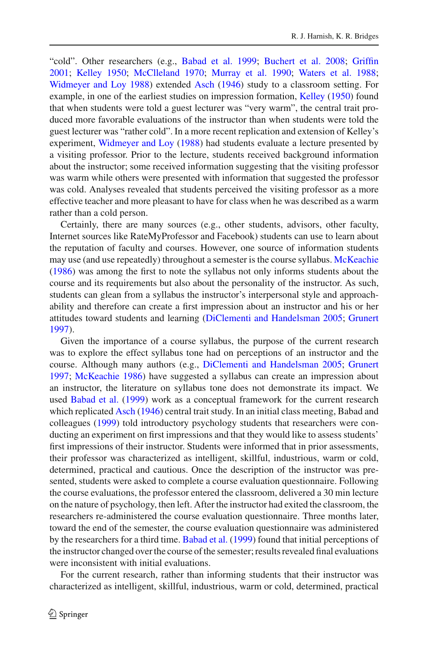"cold". Other researchers (e.g., [Babad et al. 1999](#page-10-1); [Buchert et al. 2008;](#page-10-2) [Griffin](#page-10-3) [2001;](#page-10-3) [Kelley 1950](#page-10-4); [McClleland 1970](#page-10-5); [Murray et al. 1990](#page-10-6); [Waters et al. 1988](#page-11-0); [Widmeyer and Loy 1988](#page-11-1)) extended [Asch](#page-10-0) [\(1946\)](#page-10-0) study to a classroom setting. For example, in one of the earliest studies on impression formation, [Kelley](#page-10-4) [\(1950\)](#page-10-4) found that when students were told a guest lecturer was "very warm", the central trait produced more favorable evaluations of the instructor than when students were told the guest lecturer was "rather cold". In a more recent replication and extension of Kelley's experiment, [Widmeyer and Loy](#page-11-1) [\(1988\)](#page-11-1) had students evaluate a lecture presented by a visiting professor. Prior to the lecture, students received background information about the instructor; some received information suggesting that the visiting professor was warm while others were presented with information that suggested the professor was cold. Analyses revealed that students perceived the visiting professor as a more effective teacher and more pleasant to have for class when he was described as a warm rather than a cold person.

Certainly, there are many sources (e.g., other students, advisors, other faculty, Internet sources like RateMyProfessor and Facebook) students can use to learn about the reputation of faculty and courses. However, one source of information students may use (and use repeatedly) throughout a semester is the course syllabus. [McKeachie](#page-10-7) [\(1986\)](#page-10-7) was among the first to note the syllabus not only informs students about the course and its requirements but also about the personality of the instructor. As such, students can glean from a syllabus the instructor's interpersonal style and approachability and therefore can create a first impression about an instructor and his or her attitudes toward students and learning [\(DiClementi and Handelsman 2005](#page-10-8); [Grunert](#page-10-9) [1997\)](#page-10-9).

Given the importance of a course syllabus, the purpose of the current research was to explore the effect syllabus tone had on perceptions of an instructor and the course. Although many authors (e.g., [DiClementi and Handelsman 2005](#page-10-8); [Grunert](#page-10-9) [1997;](#page-10-9) [McKeachie 1986\)](#page-10-7) have suggested a syllabus can create an impression about an instructor, the literature on syllabus tone does not demonstrate its impact. We used [Babad et al.](#page-10-1) [\(1999](#page-10-1)) work as a conceptual framework for the current research which replicated [Asch](#page-10-0) [\(1946\)](#page-10-0) central trait study. In an initial class meeting, Babad and colleagues [\(1999](#page-10-1)) told introductory psychology students that researchers were conducting an experiment on first impressions and that they would like to assess students' first impressions of their instructor. Students were informed that in prior assessments, their professor was characterized as intelligent, skillful, industrious, warm or cold, determined, practical and cautious. Once the description of the instructor was presented, students were asked to complete a course evaluation questionnaire. Following the course evaluations, the professor entered the classroom, delivered a 30 min lecture on the nature of psychology, then left. After the instructor had exited the classroom, the researchers re-administered the course evaluation questionnaire. Three months later, toward the end of the semester, the course evaluation questionnaire was administered by the researchers for a third time. [Babad et al.](#page-10-1) [\(1999\)](#page-10-1) found that initial perceptions of the instructor changed over the course of the semester; results revealed final evaluations were inconsistent with initial evaluations.

For the current research, rather than informing students that their instructor was characterized as intelligent, skillful, industrious, warm or cold, determined, practical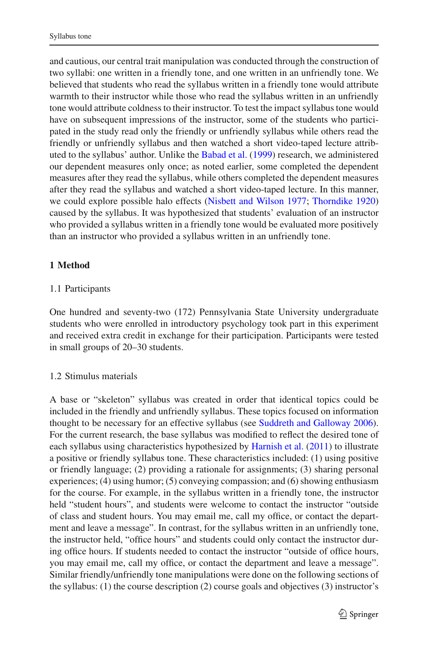and cautious, our central trait manipulation was conducted through the construction of two syllabi: one written in a friendly tone, and one written in an unfriendly tone. We believed that students who read the syllabus written in a friendly tone would attribute warmth to their instructor while those who read the syllabus written in an unfriendly tone would attribute coldness to their instructor. To test the impact syllabus tone would have on subsequent impressions of the instructor, some of the students who participated in the study read only the friendly or unfriendly syllabus while others read the friendly or unfriendly syllabus and then watched a short video-taped lecture attributed to the syllabus' author. Unlike the [Babad et al.](#page-10-1) [\(1999\)](#page-10-1) research, we administered our dependent measures only once; as noted earlier, some completed the dependent measures after they read the syllabus, while others completed the dependent measures after they read the syllabus and watched a short video-taped lecture. In this manner, we could explore possible halo effects [\(Nisbett and Wilson 1977](#page-11-2); [Thorndike 1920\)](#page-11-3) caused by the syllabus. It was hypothesized that students' evaluation of an instructor who provided a syllabus written in a friendly tone would be evaluated more positively than an instructor who provided a syllabus written in an unfriendly tone.

# **1 Method**

# 1.1 Participants

One hundred and seventy-two (172) Pennsylvania State University undergraduate students who were enrolled in introductory psychology took part in this experiment and received extra credit in exchange for their participation. Participants were tested in small groups of 20–30 students.

## 1.2 Stimulus materials

A base or "skeleton" syllabus was created in order that identical topics could be included in the friendly and unfriendly syllabus. These topics focused on information thought to be necessary for an effective syllabus (see [Suddreth and Galloway 2006](#page-11-4)). For the current research, the base syllabus was modified to reflect the desired tone of each syllabus using characteristics hypothesized by [Harnish et al.](#page-10-10) [\(2011](#page-10-10)) to illustrate a positive or friendly syllabus tone. These characteristics included: (1) using positive or friendly language; (2) providing a rationale for assignments; (3) sharing personal experiences; (4) using humor; (5) conveying compassion; and (6) showing enthusiasm for the course. For example, in the syllabus written in a friendly tone, the instructor held "student hours", and students were welcome to contact the instructor "outside of class and student hours. You may email me, call my office, or contact the department and leave a message". In contrast, for the syllabus written in an unfriendly tone, the instructor held, "office hours" and students could only contact the instructor during office hours. If students needed to contact the instructor "outside of office hours, you may email me, call my office, or contact the department and leave a message". Similar friendly/unfriendly tone manipulations were done on the following sections of the syllabus: (1) the course description (2) course goals and objectives (3) instructor's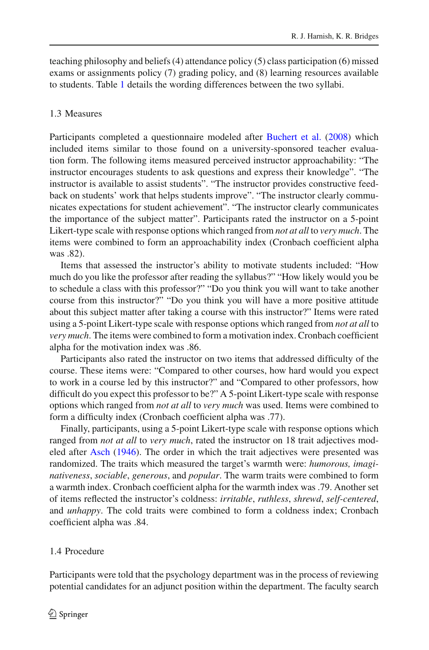teaching philosophy and beliefs (4) attendance policy (5) class participation (6) missed exams or assignments policy (7) grading policy, and (8) learning resources available to students. Table [1](#page-4-0) details the wording differences between the two syllabi.

#### 1.3 Measures

Participants completed a questionnaire modeled after [Buchert et al.](#page-10-2) [\(2008](#page-10-2)) which included items similar to those found on a university-sponsored teacher evaluation form. The following items measured perceived instructor approachability: "The instructor encourages students to ask questions and express their knowledge". "The instructor is available to assist students". "The instructor provides constructive feedback on students' work that helps students improve". "The instructor clearly communicates expectations for student achievement". "The instructor clearly communicates the importance of the subject matter". Participants rated the instructor on a 5-point Likert-type scale with response options which ranged from *not at all* to *very much*. The items were combined to form an approachability index (Cronbach coefficient alpha was .82).

Items that assessed the instructor's ability to motivate students included: "How much do you like the professor after reading the syllabus?" "How likely would you be to schedule a class with this professor?" "Do you think you will want to take another course from this instructor?" "Do you think you will have a more positive attitude about this subject matter after taking a course with this instructor?" Items were rated using a 5-point Likert-type scale with response options which ranged from *not at all* to *very much*. The items were combined to form a motivation index. Cronbach coefficient alpha for the motivation index was .86.

Participants also rated the instructor on two items that addressed difficulty of the course. These items were: "Compared to other courses, how hard would you expect to work in a course led by this instructor?" and "Compared to other professors, how difficult do you expect this professor to be?" A 5-point Likert-type scale with response options which ranged from *not at all* to *very much* was used. Items were combined to form a difficulty index (Cronbach coefficient alpha was .77).

Finally, participants, using a 5-point Likert-type scale with response options which ranged from *not at all* to *very much*, rated the instructor on 18 trait adjectives modeled after [Asch](#page-10-0) [\(1946](#page-10-0)). The order in which the trait adjectives were presented was randomized. The traits which measured the target's warmth were: *humorous, imaginativeness*, *sociable*, *generous*, and *popular*. The warm traits were combined to form a warmth index. Cronbach coefficient alpha for the warmth index was .79. Another set of items reflected the instructor's coldness: *irritable*, *ruthless*, *shrewd*, *self-centered*, and *unhappy*. The cold traits were combined to form a coldness index; Cronbach coefficient alpha was .84.

### 1.4 Procedure

Participants were told that the psychology department was in the process of reviewing potential candidates for an adjunct position within the department. The faculty search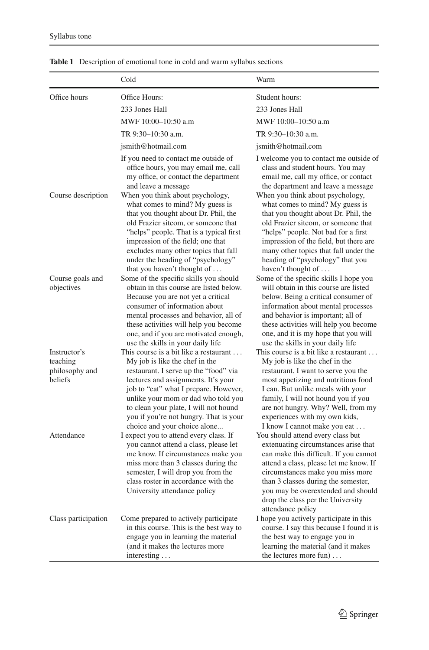|                                                       | Cold                                                                                                                                                                                                                                                                                                                                                        | Warm                                                                                                                                                                                                                                                                                                                                      |
|-------------------------------------------------------|-------------------------------------------------------------------------------------------------------------------------------------------------------------------------------------------------------------------------------------------------------------------------------------------------------------------------------------------------------------|-------------------------------------------------------------------------------------------------------------------------------------------------------------------------------------------------------------------------------------------------------------------------------------------------------------------------------------------|
| Office hours                                          | Office Hours:                                                                                                                                                                                                                                                                                                                                               | Student hours:                                                                                                                                                                                                                                                                                                                            |
|                                                       | 233 Jones Hall                                                                                                                                                                                                                                                                                                                                              | 233 Jones Hall                                                                                                                                                                                                                                                                                                                            |
|                                                       | MWF 10:00-10:50 a.m                                                                                                                                                                                                                                                                                                                                         | MWF 10:00-10:50 a.m                                                                                                                                                                                                                                                                                                                       |
|                                                       | TR 9:30-10:30 a.m.                                                                                                                                                                                                                                                                                                                                          | TR 9:30-10:30 a.m.                                                                                                                                                                                                                                                                                                                        |
|                                                       | jsmith@hotmail.com                                                                                                                                                                                                                                                                                                                                          | jsmith@hotmail.com                                                                                                                                                                                                                                                                                                                        |
|                                                       | If you need to contact me outside of<br>office hours, you may email me, call<br>my office, or contact the department<br>and leave a message                                                                                                                                                                                                                 | I welcome you to contact me outside of<br>class and student hours. You may<br>email me, call my office, or contact<br>the department and leave a message                                                                                                                                                                                  |
| Course description                                    | When you think about psychology,<br>what comes to mind? My guess is<br>that you thought about Dr. Phil, the<br>old Frazier sitcom, or someone that<br>"helps" people. That is a typical first<br>impression of the field; one that<br>excludes many other topics that fall<br>under the heading of "psychology"<br>that you haven't thought of $\dots$      | When you think about psychology,<br>what comes to mind? My guess is<br>that you thought about Dr. Phil, the<br>old Frazier sitcom, or someone that<br>"helps" people. Not bad for a first<br>impression of the field, but there are<br>many other topics that fall under the<br>heading of "psychology" that you<br>haven't thought of    |
| Course goals and<br>objectives                        | Some of the specific skills you should<br>obtain in this course are listed below.<br>Because you are not yet a critical<br>consumer of information about<br>mental processes and behavior, all of<br>these activities will help you become<br>one, and if you are motivated enough,<br>use the skills in your daily life                                    | Some of the specific skills I hope you<br>will obtain in this course are listed<br>below. Being a critical consumer of<br>information about mental processes<br>and behavior is important; all of<br>these activities will help you become<br>one, and it is my hope that you will<br>use the skills in your daily life                   |
| Instructor's<br>teaching<br>philosophy and<br>beliefs | This course is a bit like a restaurant<br>My job is like the chef in the<br>restaurant. I serve up the "food" via<br>lectures and assignments. It's your<br>job to "eat" what I prepare. However,<br>unlike your mom or dad who told you<br>to clean your plate, I will not hound<br>you if you're not hungry. That is your<br>choice and your choice alone | This course is a bit like a restaurant<br>My job is like the chef in the<br>restaurant. I want to serve you the<br>most appetizing and nutritious food<br>I can. But unlike meals with your<br>family, I will not hound you if you<br>are not hungry. Why? Well, from my<br>experiences with my own kids,<br>I know I cannot make you eat |
| Attendance                                            | I expect you to attend every class. If<br>you cannot attend a class, please let<br>me know. If circumstances make you<br>miss more than 3 classes during the<br>semester, I will drop you from the<br>class roster in accordance with the<br>University attendance policy                                                                                   | You should attend every class but<br>extenuating circumstances arise that<br>can make this difficult. If you cannot<br>attend a class, please let me know. If<br>circumstances make you miss more<br>than 3 classes during the semester,<br>you may be overextended and should<br>drop the class per the University<br>attendance policy  |
| Class participation                                   | Come prepared to actively participate<br>in this course. This is the best way to<br>engage you in learning the material<br>(and it makes the lectures more<br>interesting                                                                                                                                                                                   | I hope you actively participate in this<br>course. I say this because I found it is<br>the best way to engage you in<br>learning the material (and it makes<br>the lectures more fun) $\dots$                                                                                                                                             |

<span id="page-4-0"></span>**Table 1** Description of emotional tone in cold and warm syllabus sections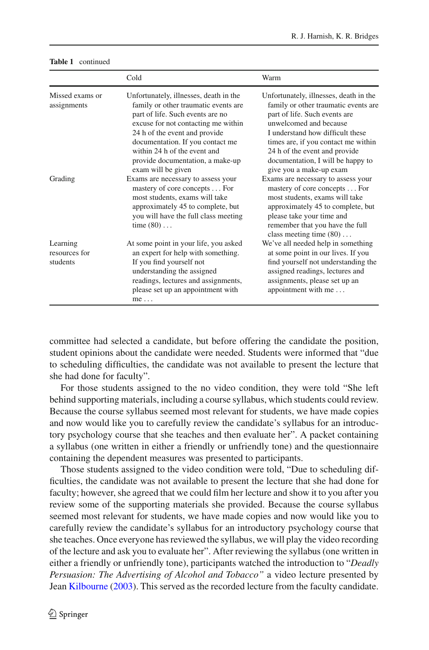|                                       | Cold                                                                                                                                                                                                                                                                                                                     | Warm                                                                                                                                                                                                                                                                                                                  |
|---------------------------------------|--------------------------------------------------------------------------------------------------------------------------------------------------------------------------------------------------------------------------------------------------------------------------------------------------------------------------|-----------------------------------------------------------------------------------------------------------------------------------------------------------------------------------------------------------------------------------------------------------------------------------------------------------------------|
| Missed exams or<br>assignments        | Unfortunately, illnesses, death in the<br>family or other traumatic events are<br>part of life. Such events are no<br>excuse for not contacting me within<br>24 h of the event and provide<br>documentation. If you contact me<br>within 24 h of the event and<br>provide documentation, a make-up<br>exam will be given | Unfortunately, illnesses, death in the<br>family or other traumatic events are<br>part of life. Such events are<br>unwelcomed and because<br>I understand how difficult these<br>times are, if you contact me within<br>24 h of the event and provide<br>documentation, I will be happy to<br>give you a make-up exam |
| Grading                               | Exams are necessary to assess your<br>mastery of core concepts For<br>most students, exams will take<br>approximately 45 to complete, but<br>you will have the full class meeting<br>time $(80)$                                                                                                                         | Exams are necessary to assess your<br>mastery of core concepts For<br>most students, exams will take<br>approximately 45 to complete, but<br>please take your time and<br>remember that you have the full<br>class meeting time $(80)$                                                                                |
| Learning<br>resources for<br>students | At some point in your life, you asked<br>an expert for help with something.<br>If you find yourself not<br>understanding the assigned<br>readings, lectures and assignments,<br>please set up an appointment with<br>me                                                                                                  | We've all needed help in something<br>at some point in our lives. If you<br>find yourself not understanding the<br>assigned readings, lectures and<br>assignments, please set up an<br>appointment with me                                                                                                            |

#### **Table 1** continued

committee had selected a candidate, but before offering the candidate the position, student opinions about the candidate were needed. Students were informed that "due to scheduling difficulties, the candidate was not available to present the lecture that she had done for faculty".

For those students assigned to the no video condition, they were told "She left behind supporting materials, including a course syllabus, which students could review. Because the course syllabus seemed most relevant for students, we have made copies and now would like you to carefully review the candidate's syllabus for an introductory psychology course that she teaches and then evaluate her". A packet containing a syllabus (one written in either a friendly or unfriendly tone) and the questionnaire containing the dependent measures was presented to participants.

Those students assigned to the video condition were told, "Due to scheduling difficulties, the candidate was not available to present the lecture that she had done for faculty; however, she agreed that we could film her lecture and show it to you after you review some of the supporting materials she provided. Because the course syllabus seemed most relevant for students, we have made copies and now would like you to carefully review the candidate's syllabus for an introductory psychology course that she teaches. Once everyone has reviewed the syllabus, we will play the video recording of the lecture and ask you to evaluate her". After reviewing the syllabus (one written in either a friendly or unfriendly tone), participants watched the introduction to "*Deadly Persuasion: The Advertising of Alcohol and Tobacco"* a video lecture presented by Jean [Kilbourne](#page-10-11) [\(2003](#page-10-11)). This served as the recorded lecture from the faculty candidate.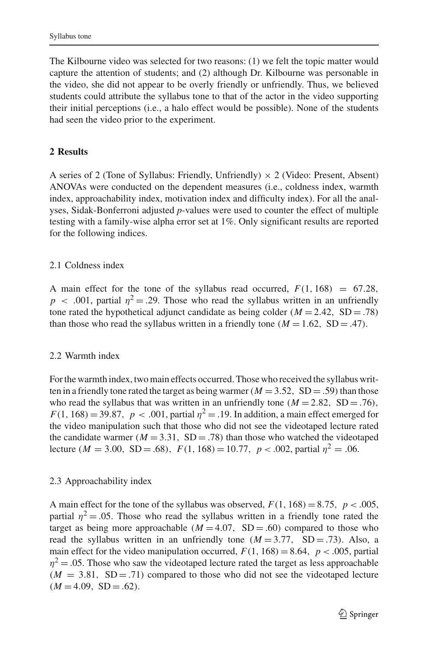The Kilbourne video was selected for two reasons: (1) we felt the topic matter would capture the attention of students; and (2) although Dr. Kilbourne was personable in the video, she did not appear to be overly friendly or unfriendly. Thus, we believed students could attribute the syllabus tone to that of the actor in the video supporting their initial perceptions (i.e., a halo effect would be possible). None of the students had seen the video prior to the experiment.

### **2 Results**

A series of 2 (Tone of Syllabus: Friendly, Unfriendly)  $\times$  2 (Video: Present, Absent) ANOVAs were conducted on the dependent measures (i.e., coldness index, warmth index, approachability index, motivation index and difficulty index). For all the analyses, Sidak-Bonferroni adjusted *p*-values were used to counter the effect of multiple testing with a family-wise alpha error set at 1%. Only significant results are reported for the following indices.

### 2.1 Coldness index

A main effect for the tone of the syllabus read occurred,  $F(1, 168) = 67.28$ ,  $p \sim .001$ , partial  $\eta^2 = .29$ . Those who read the syllabus written in an unfriendly tone rated the hypothetical adjunct candidate as being colder  $(M = 2.42, SD = .78)$ than those who read the syllabus written in a friendly tone  $(M = 1.62, SD = .47)$ .

#### 2.2 Warmth index

For the warmth index, two main effects occurred. Those who received the syllabus written in a friendly tone rated the target as being warmer ( $M = 3.52$ , SD = .59) than those who read the syllabus that was written in an unfriendly tone  $(M = 2.82, SD = .76)$ ,  $F(1, 168) = 39.87$ ,  $p < .001$ , partial  $\eta^2 = .19$ . In addition, a main effect emerged for the video manipulation such that those who did not see the videotaped lecture rated the candidate warmer ( $M = 3.31$ , SD = .78) than those who watched the videotaped lecture ( $M = 3.00$ , SD = .68),  $F(1, 168) = 10.77$ ,  $p < .002$ , partial  $\eta^2 = .06$ .

### 2.3 Approachability index

A main effect for the tone of the syllabus was observed,  $F(1, 168) = 8.75$ ,  $p < .005$ , partial  $\eta^2 = 0.05$ . Those who read the syllabus written in a friendly tone rated the target as being more approachable  $(M = 4.07, SD = .60)$  compared to those who read the syllabus written in an unfriendly tone  $(M = 3.77, SD = .73)$ . Also, a main effect for the video manipulation occurred,  $F(1, 168) = 8.64$ ,  $p < .005$ , partial  $\eta^2$  = .05. Those who saw the videotaped lecture rated the target as less approachable  $(M = 3.81, SD = .71)$  compared to those who did not see the videotaped lecture  $(M = 4.09, SD = .62).$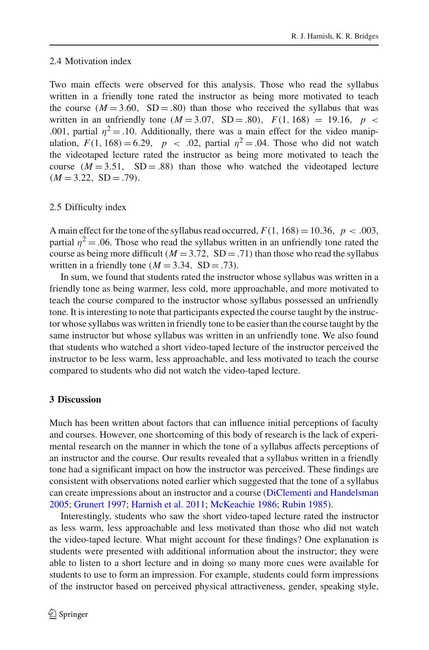#### 2.4 Motivation index

Two main effects were observed for this analysis. Those who read the syllabus written in a friendly tone rated the instructor as being more motivated to teach the course  $(M = 3.60, SD = .80)$  than those who received the syllabus that was written in an unfriendly tone  $(M = 3.07, SD = .80)$ ,  $F(1, 168) = 19.16$ ,  $p <$ .001, partial  $\eta^2 = 0.10$ . Additionally, there was a main effect for the video manipulation,  $F(1, 168) = 6.29$ ,  $p < .02$ , partial  $\eta^2 = .04$ . Those who did not watch the videotaped lecture rated the instructor as being more motivated to teach the course  $(M = 3.51, SD = .88)$  than those who watched the videotaped lecture  $(M = 3.22, SD = .79).$ 

### 2.5 Difficulty index

A main effect for the tone of the syllabus read occurred,  $F(1, 168) = 10.36$ ,  $p < .003$ , partial  $\eta^2 = 0.06$ . Those who read the syllabus written in an unfriendly tone rated the course as being more difficult ( $M = 3.72$ , SD = .71) than those who read the syllabus written in a friendly tone ( $M = 3.34$ , SD = .73).

In sum, we found that students rated the instructor whose syllabus was written in a friendly tone as being warmer, less cold, more approachable, and more motivated to teach the course compared to the instructor whose syllabus possessed an unfriendly tone. It is interesting to note that participants expected the course taught by the instructor whose syllabus was written in friendly tone to be easier than the course taught by the same instructor but whose syllabus was written in an unfriendly tone. We also found that students who watched a short video-taped lecture of the instructor perceived the instructor to be less warm, less approachable, and less motivated to teach the course compared to students who did not watch the video-taped lecture.

## **3 Discussion**

Much has been written about factors that can influence initial perceptions of faculty and courses. However, one shortcoming of this body of research is the lack of experimental research on the manner in which the tone of a syllabus affects perceptions of an instructor and the course. Our results revealed that a syllabus written in a friendly tone had a significant impact on how the instructor was perceived. These findings are consistent with observations noted earlier which suggested that the tone of a syllabus can create impressions about an instructor and a course [\(DiClementi and Handelsman](#page-10-8) [2005;](#page-10-8) [Grunert 1997](#page-10-9); [Harnish et al. 2011](#page-10-10); [McKeachie 1986;](#page-10-7) [Rubin 1985\)](#page-11-5).

Interestingly, students who saw the short video-taped lecture rated the instructor as less warm, less approachable and less motivated than those who did not watch the video-taped lecture. What might account for these findings? One explanation is students were presented with additional information about the instructor; they were able to listen to a short lecture and in doing so many more cues were available for students to use to form an impression. For example, students could form impressions of the instructor based on perceived physical attractiveness, gender, speaking style,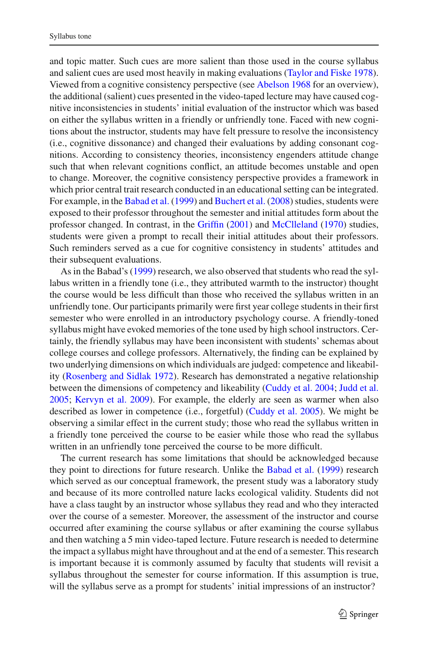and topic matter. Such cues are more salient than those used in the course syllabus and salient cues are used most heavily in making evaluations [\(Taylor and Fiske 1978](#page-11-6)). Viewed from a cognitive consistency perspective (see [Abelson 1968](#page-9-0) for an overview), the additional (salient) cues presented in the video-taped lecture may have caused cognitive inconsistencies in students' initial evaluation of the instructor which was based on either the syllabus written in a friendly or unfriendly tone. Faced with new cognitions about the instructor, students may have felt pressure to resolve the inconsistency (i.e., cognitive dissonance) and changed their evaluations by adding consonant cognitions. According to consistency theories, inconsistency engenders attitude change such that when relevant cognitions conflict, an attitude becomes unstable and open to change. Moreover, the cognitive consistency perspective provides a framework in which prior central trait research conducted in an educational setting can be integrated. For example, in the [Babad et al.](#page-10-1) [\(1999\)](#page-10-1) and [Buchert et al.](#page-10-2) [\(2008](#page-10-2)) studies, students were exposed to their professor throughout the semester and initial attitudes form about the professor changed. In contrast, in the [Griffin](#page-10-3) [\(2001](#page-10-3)) and [McClleland](#page-10-5) [\(1970\)](#page-10-5) studies, students were given a prompt to recall their initial attitudes about their professors. Such reminders served as a cue for cognitive consistency in students' attitudes and their subsequent evaluations.

As in the Babad's [\(1999](#page-10-1)) research, we also observed that students who read the syllabus written in a friendly tone (i.e., they attributed warmth to the instructor) thought the course would be less difficult than those who received the syllabus written in an unfriendly tone. Our participants primarily were first year college students in their first semester who were enrolled in an introductory psychology course. A friendly-toned syllabus might have evoked memories of the tone used by high school instructors. Certainly, the friendly syllabus may have been inconsistent with students' schemas about college courses and college professors. Alternatively, the finding can be explained by two underlying dimensions on which individuals are judged: competence and likeability [\(Rosenberg and Sidlak 1972\)](#page-11-7). Research has demonstrated a negative relationship between the dimensions of competency and likeability [\(Cuddy et al. 2004;](#page-10-12) [Judd et al.](#page-10-13) [2005;](#page-10-13) [Kervyn et al. 2009](#page-10-14)). For example, the elderly are seen as warmer when also described as lower in competence (i.e., forgetful) [\(Cuddy et al. 2005\)](#page-10-15). We might be observing a similar effect in the current study; those who read the syllabus written in a friendly tone perceived the course to be easier while those who read the syllabus written in an unfriendly tone perceived the course to be more difficult.

The current research has some limitations that should be acknowledged because they point to directions for future research. Unlike the [Babad et al.](#page-10-1) [\(1999](#page-10-1)) research which served as our conceptual framework, the present study was a laboratory study and because of its more controlled nature lacks ecological validity. Students did not have a class taught by an instructor whose syllabus they read and who they interacted over the course of a semester. Moreover, the assessment of the instructor and course occurred after examining the course syllabus or after examining the course syllabus and then watching a 5 min video-taped lecture. Future research is needed to determine the impact a syllabus might have throughout and at the end of a semester. This research is important because it is commonly assumed by faculty that students will revisit a syllabus throughout the semester for course information. If this assumption is true, will the syllabus serve as a prompt for students' initial impressions of an instructor?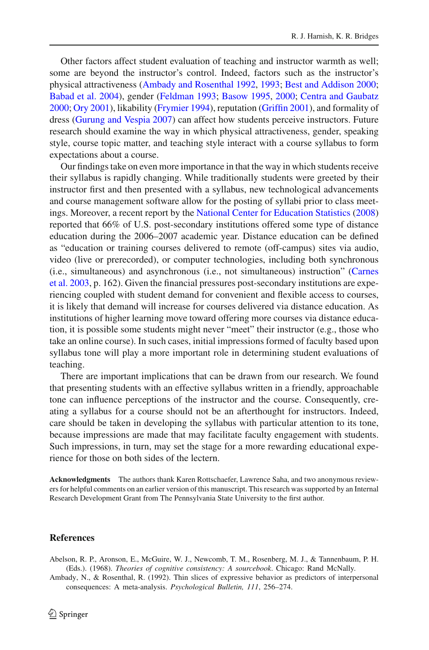Other factors affect student evaluation of teaching and instructor warmth as well; some are beyond the instructor's control. Indeed, factors such as the instructor's physical attractiveness [\(Ambady and Rosenthal 1992,](#page-9-1) [1993;](#page-10-16) [Best and Addison 2000](#page-10-17); [Babad et al. 2004\)](#page-10-18), gender [\(Feldman 1993;](#page-10-19) [Basow 1995](#page-10-20), [2000](#page-10-21); [Centra and Gaubatz](#page-10-22) [2000;](#page-10-22) [Ory 2001](#page-11-8)), likability [\(Frymier 1994](#page-10-23)), reputation [\(Griffin 2001\)](#page-10-3), and formality of dress [\(Gurung and Vespia 2007](#page-10-24)) can affect how students perceive instructors. Future research should examine the way in which physical attractiveness, gender, speaking style, course topic matter, and teaching style interact with a course syllabus to form expectations about a course.

Our findings take on even more importance in that the way in which students receive their syllabus is rapidly changing. While traditionally students were greeted by their instructor first and then presented with a syllabus, new technological advancements and course management software allow for the posting of syllabi prior to class meetings. Moreover, a recent report by the [National Center for Education Statistics](#page-11-9) [\(2008\)](#page-11-9) reported that 66% of U.S. post-secondary institutions offered some type of distance education during the 2006–2007 academic year. Distance education can be defined as "education or training courses delivered to remote (off-campus) sites via audio, video (live or prerecorded), or computer technologies, including both synchronous (i.e., [simultaneous\)](#page-10-25) [and](#page-10-25) [asynchronous](#page-10-25) [\(i.e.,](#page-10-25) [not](#page-10-25) [simultaneous\)](#page-10-25) [instruction"](#page-10-25) [\(](#page-10-25)Carnes et al. [2003](#page-10-25), p. 162). Given the financial pressures post-secondary institutions are experiencing coupled with student demand for convenient and flexible access to courses, it is likely that demand will increase for courses delivered via distance education. As institutions of higher learning move toward offering more courses via distance education, it is possible some students might never "meet" their instructor (e.g., those who take an online course). In such cases, initial impressions formed of faculty based upon syllabus tone will play a more important role in determining student evaluations of teaching.

There are important implications that can be drawn from our research. We found that presenting students with an effective syllabus written in a friendly, approachable tone can influence perceptions of the instructor and the course. Consequently, creating a syllabus for a course should not be an afterthought for instructors. Indeed, care should be taken in developing the syllabus with particular attention to its tone, because impressions are made that may facilitate faculty engagement with students. Such impressions, in turn, may set the stage for a more rewarding educational experience for those on both sides of the lectern.

**Acknowledgments** The authors thank Karen Rottschaefer, Lawrence Saha, and two anonymous reviewers for helpful comments on an earlier version of this manuscript. This research was supported by an Internal Research Development Grant from The Pennsylvania State University to the first author.

#### **References**

<span id="page-9-0"></span>Abelson, R. P., Aronson, E., McGuire, W. J., Newcomb, T. M., Rosenberg, M. J., & Tannenbaum, P. H. (Eds.). (1968). *Theories of cognitive consistency: A sourcebook*. Chicago: Rand McNally.

<span id="page-9-1"></span>Ambady, N., & Rosenthal, R. (1992). Thin slices of expressive behavior as predictors of interpersonal consequences: A meta-analysis. *Psychological Bulletin, 111*, 256–274.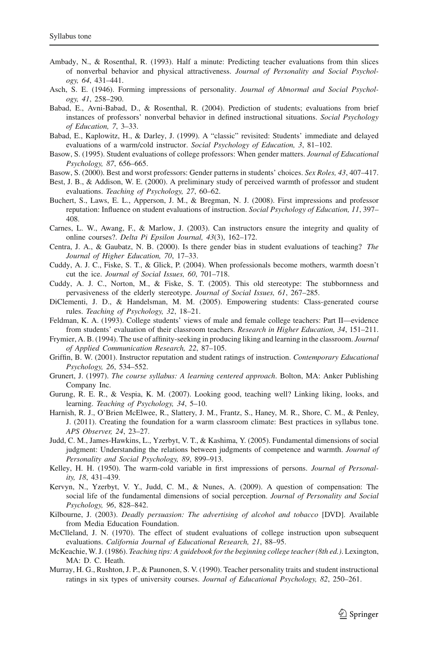- <span id="page-10-16"></span>Ambady, N., & Rosenthal, R. (1993). Half a minute: Predicting teacher evaluations from thin slices of nonverbal behavior and physical attractiveness. *Journal of Personality and Social Psychology, 64*, 431–441.
- <span id="page-10-0"></span>Asch, S. E. (1946). Forming impressions of personality. *Journal of Abnormal and Social Psychology, 41*, 258–290.
- <span id="page-10-18"></span>Babad, E., Avni-Babad, D., & Rosenthal, R. (2004). Prediction of students; evaluations from brief instances of professors' nonverbal behavior in defined instructional situations. *Social Psychology of Education, 7*, 3–33.
- <span id="page-10-1"></span>Babad, E., Kaplowitz, H., & Darley, J. (1999). A "classic" revisited: Students' immediate and delayed evaluations of a warm/cold instructor. *Social Psychology of Education, 3*, 81–102.
- <span id="page-10-20"></span>Basow, S. (1995). Student evaluations of college professors: When gender matters. *Journal of Educational Psychology, 87*, 656–665.
- <span id="page-10-21"></span>Basow, S. (2000). Best and worst professors: Gender patterns in students' choices. *Sex Roles, 43*, 407–417.
- <span id="page-10-17"></span>Best, J. B., & Addison, W. E. (2000). A preliminary study of perceived warmth of professor and student evaluations. *Teaching of Psychology, 27*, 60–62.
- <span id="page-10-2"></span>Buchert, S., Laws, E. L., Apperson, J. M., & Bregman, N. J. (2008). First impressions and professor reputation: Influence on student evaluations of instruction. *Social Psychology of Education, 11*, 397– 408.
- <span id="page-10-25"></span>Carnes, L. W., Awang, F., & Marlow, J. (2003). Can instructors ensure the integrity and quality of online courses?. *Delta Pi Epsilon Journal, 43*(3), 162–172.
- <span id="page-10-22"></span>Centra, J. A., & Gaubatz, N. B. (2000). Is there gender bias in student evaluations of teaching?. *The Journal of Higher Education, 70*, 17–33.
- <span id="page-10-12"></span>Cuddy, A. J. C., Fiske, S. T., & Glick, P. (2004). When professionals become mothers, warmth doesn't cut the ice. *Journal of Social Issues, 60*, 701–718.
- <span id="page-10-15"></span>Cuddy, A. J. C., Norton, M., & Fiske, S. T. (2005). This old stereotype: The stubbornness and pervasiveness of the elderly stereotype. *Journal of Social Issues, 61*, 267–285.
- <span id="page-10-8"></span>DiClementi, J. D., & Handelsman, M. M. (2005). Empowering students: Class-generated course rules. *Teaching of Psychology, 32*, 18–21.
- <span id="page-10-19"></span>Feldman, K. A. (1993). College students' views of male and female college teachers: Part II—evidence from students' evaluation of their classroom teachers. *Research in Higher Education, 34*, 151–211.
- <span id="page-10-23"></span>Frymier, A. B. (1994). The use of affinity-seeking in producing liking and learning in the classroom. *Journal of Applied Communication Research, 22*, 87–105.
- <span id="page-10-3"></span>Griffin, B. W. (2001). Instructor reputation and student ratings of instruction. *Contemporary Educational Psychology, 26*, 534–552.
- <span id="page-10-9"></span>Grunert, J. (1997). *The course syllabus: A learning centered approach*. Bolton, MA: Anker Publishing Company Inc.
- <span id="page-10-24"></span>Gurung, R. E. R., & Vespia, K. M. (2007). Looking good, teaching well? Linking liking, looks, and learning. *Teaching of Psychology, 34*, 5–10.
- <span id="page-10-10"></span>Harnish, R. J., O'Brien McElwee, R., Slattery, J. M., Frantz, S., Haney, M. R., Shore, C. M., & Penley, J. (2011). Creating the foundation for a warm classroom climate: Best practices in syllabus tone. *APS Observer, 24*, 23–27.
- <span id="page-10-13"></span>Judd, C. M., James-Hawkins, L., Yzerbyt, V. T., & Kashima, Y. (2005). Fundamental dimensions of social judgment: Understanding the relations between judgments of competence and warmth. *Journal of Personality and Social Psychology, 89*, 899–913.
- <span id="page-10-4"></span>Kelley, H. H. (1950). The warm-cold variable in first impressions of persons. *Journal of Personality, 18*, 431–439.
- <span id="page-10-14"></span>Kervyn, N., Yzerbyt, V. Y., Judd, C. M., & Nunes, A. (2009). A question of compensation: The social life of the fundamental dimensions of social perception. *Journal of Personality and Social Psychology, 96*, 828–842.
- <span id="page-10-11"></span>Kilbourne, J. (2003). *Deadly persuasion: The advertising of alcohol and tobacco* [DVD]. Available from Media Education Foundation.
- <span id="page-10-5"></span>McClleland, J. N. (1970). The effect of student evaluations of college instruction upon subsequent evaluations. *California Journal of Educational Research, 21*, 88–95.
- <span id="page-10-7"></span>McKeachie, W. J. (1986). *Teaching tips: A guidebook for the beginning college teacher (8th ed.)*. Lexington, MA: D. C. Heath.
- <span id="page-10-6"></span>Murray, H. G., Rushton, J. P., & Paunonen, S. V. (1990). Teacher personality traits and student instructional ratings in six types of university courses. *Journal of Educational Psychology, 82*, 250–261.